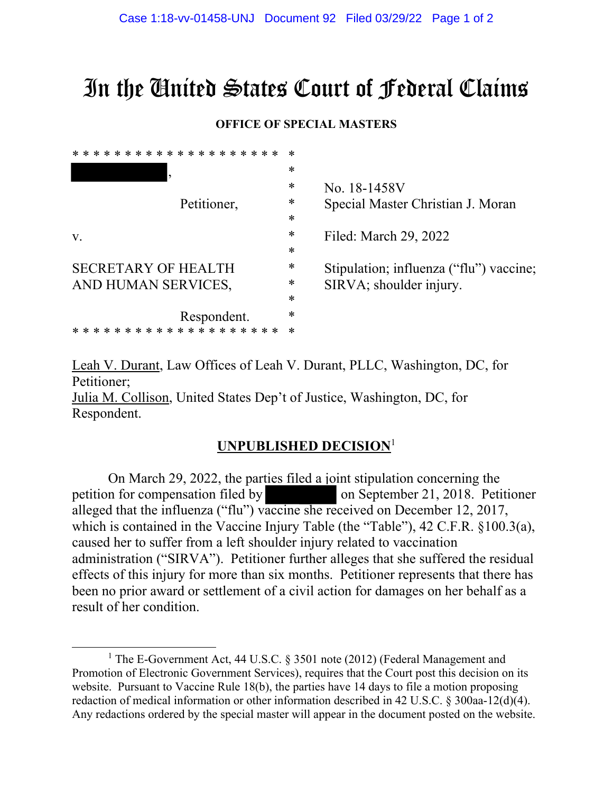# In the United States Court of Federal Claims

#### **OFFICE OF SPECIAL MASTERS**

| * * * * * * * * * * * * * * * * | $\ast$ |                                         |
|---------------------------------|--------|-----------------------------------------|
|                                 | ∗      |                                         |
|                                 | ∗      | No. 18-1458V                            |
| Petitioner,                     | ∗      | Special Master Christian J. Moran       |
|                                 | $\ast$ |                                         |
| V.                              | ∗      | Filed: March 29, 2022                   |
|                                 | $\ast$ |                                         |
| <b>SECRETARY OF HEALTH</b>      | ∗      | Stipulation; influenza ("flu") vaccine; |
| AND HUMAN SERVICES,             | ∗      | SIRVA; shoulder injury.                 |
|                                 | $\ast$ |                                         |
| Respondent.                     | $\ast$ |                                         |
| * * * * * * *<br>ж.             | *      |                                         |
|                                 |        |                                         |

Leah V. Durant, Law Offices of Leah V. Durant, PLLC, Washington, DC, for Petitioner;

Julia M. Collison, United States Dep't of Justice, Washington, DC, for Respondent.

### **UNPUBLISHED DECISION**<sup>1</sup>

On March 29, 2022, the parties filed a joint stipulation concerning the petition for compensation filed by on September 21, 2018. Petitioner alleged that the influenza ("flu") vaccine she received on December 12, 2017, which is contained in the Vaccine Injury Table (the "Table"), 42 C.F.R. §100.3(a), caused her to suffer from a left shoulder injury related to vaccination administration ("SIRVA"). Petitioner further alleges that she suffered the residual effects of this injury for more than six months. Petitioner represents that there has been no prior award or settlement of a civil action for damages on her behalf as a result of her condition.

<sup>&</sup>lt;sup>1</sup> The E-Government Act, 44 U.S.C. § 3501 note (2012) (Federal Management and Promotion of Electronic Government Services), requires that the Court post this decision on its website. Pursuant to Vaccine Rule 18(b), the parties have 14 days to file a motion proposing redaction of medical information or other information described in 42 U.S.C. § 300aa-12(d)(4). Any redactions ordered by the special master will appear in the document posted on the website.